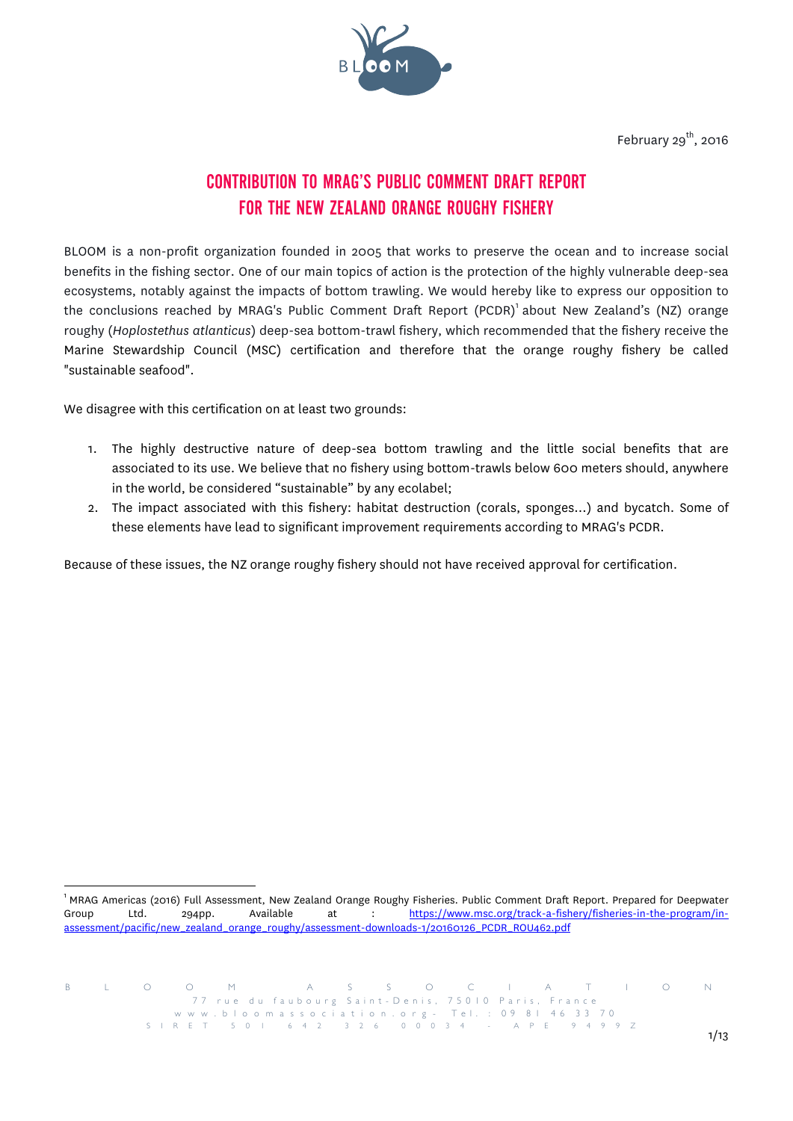

# CONTRIBUTION TO MRAG'S PUBLIC COMMENT DRAFT REPORT FOR THE NEW ZEALAND ORANGE ROUGHY FISHERY

BLOOM is a non-profit organization founded in 2005 that works to preserve the ocean and to increase social benefits in the fishing sector. One of our main topics of action is the protection of the highly vulnerable deep-sea ecosystems, notably against the impacts of bottom trawling. We would hereby like to express our opposition to the conclusions reached by MRAG's Public Comment Draft Report  $(\mathtt{PCDR})^1$ about New Zealand's  $(\mathtt{NZ})$  orange roughy (*Hoplostethus atlanticus*) deep-sea bottom-trawl fishery, which recommended that the fishery receive the Marine Stewardship Council (MSC) certification and therefore that the orange roughy fishery be called "sustainable seafood".

We disagree with this certification on at least two grounds:

- 1. The highly destructive nature of deep-sea bottom trawling and the little social benefits that are associated to its use. We believe that no fishery using bottom-trawls below 600 meters should, anywhere in the world, be considered "sustainable" by any ecolabel;
- 2. The impact associated with this fishery: habitat destruction (corals, sponges…) and bycatch. Some of these elements have lead to significant improvement requirements according to MRAG's PCDR.

Because of these issues, the NZ orange roughy fishery should not have received approval for certification.

<sup>!!!!!!!!!!!!!!!!!!!!!!!!!!!!!!!!!!!!!!!!!!!!!!!!!!!!!!!!!!!!</sup> <sup>1</sup> MRAG Americas (2016) Full Assessment, New Zealand Orange Roughy Fisheries. Public Comment Draft Report. Prepared for Deepwater Group Ltd. 294pp. Available at : https://www.msc.org/track-a-fishery/fisheries-in-the-program/inassessment/pacific/new\_zealand\_orange\_roughy/assessment-downloads-1/20160126\_PCDR\_ROU462.pdf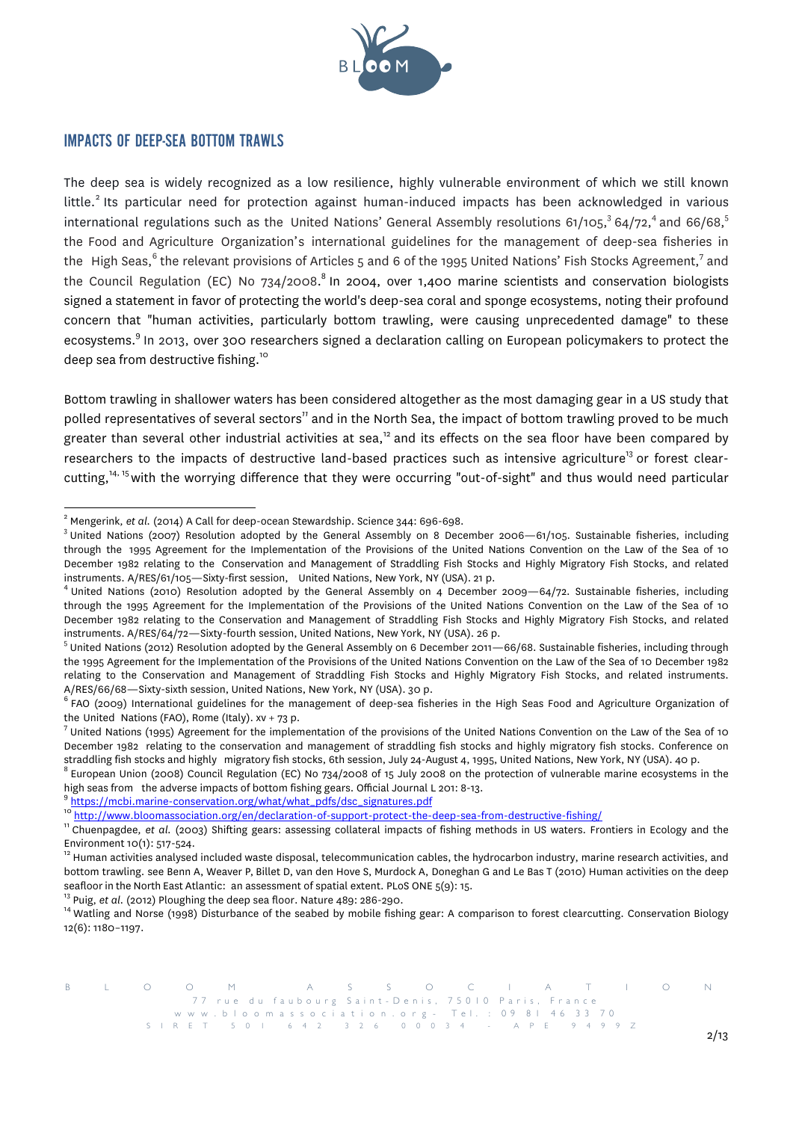

# IMPACTS OF DEEP-SEA BOTTOM TRAWLS

The deep sea is widely recognized as a low resilience, highly vulnerable environment of which we still known little.<sup>2</sup> Its particular need for protection against human-induced impacts has been acknowledged in various international regulations such as the United Nations' General Assembly resolutions  $61/105$ ,  $64/72$ , and  $66/68$ ,  $5$ the Food and Agriculture Organization's international guidelines for the management of deep-sea fisheries in the High Seas,<sup>6</sup> the relevant provisions of Articles 5 and 6 of the 1995 United Nations' Fish Stocks Agreement,<sup>7</sup> and the Council Regulation (EC) No 734/2008. $^8$  In 2004, over 1,400 marine scientists and conservation biologists signed a statement in favor of protecting the world's deep-sea coral and sponge ecosystems, noting their profound concern that "human activities, particularly bottom trawling, were causing unprecedented damage" to these ecosystems.<sup>9</sup> In 2013, over 300 researchers signed a declaration calling on European policymakers to protect the deep sea from destructive fishing.<sup>10</sup>

Bottom trawling in shallower waters has been considered altogether as the most damaging gear in a US study that polled representatives of several sectors*<sup>11</sup>* and in the North Sea, the impact of bottom trawling proved to be much greater than several other industrial activities at sea,<sup>12</sup> and its effects on the sea floor have been compared by researchers to the impacts of destructive land-based practices such as intensive agriculture<sup>13</sup> or forest clearcutting,<sup>14, 15</sup> with the worrying difference that they were occurring "out-of-sight" and thus would need particular

 $^2$  Mengerink, et al. (2014) A Call for deep-ocean Stewardship. Science 344: 696-698.<br> $^3$  United Nations (2007) Resolution adopted by the General Assembly on 8 December 2006—61/105. Sustainable fisheries, including through the 1995 Agreement for the Implementation of the Provisions of the United Nations Convention on the Law of the Sea of 10 December 1982 relating to the Conservation and Management of Straddling Fish Stocks and Highly Migratory Fish Stocks, and related instruments. A/RES/61/105—Sixty-first session, United Nations, New York, NY (USA). 21 p.<br><sup>4</sup> United Nations (2010) Resolution adopted by the General Assembly on 4 December 2009—64/72. Sustainable fisheries, including

through the 1995 Agreement for the Implementation of the Provisions of the United Nations Convention on the Law of the Sea of 10 December 1982 relating to the Conservation and Management of Straddling Fish Stocks and Highly Migratory Fish Stocks, and related instruments. A/RES/64/72—Sixty-fourth session, United Nations, New York, NY (USA). 26 p.<br><sup>5</sup> United Nations (2012) Resolution adopted by the General Assembly on 6 December 2011—66/68. Sustainable fisheries, including thro

the 1995 Agreement for the Implementation of the Provisions of the United Nations Convention on the Law of the Sea of 10 December 1982 relating to the Conservation and Management of Straddling Fish Stocks and Highly Migratory Fish Stocks, and related instruments. A/RES/66/68—Sixty-sixth session, United Nations, New York, NY (USA). 30 p.<br><sup>6</sup> FAO (2009) International guidelines for the management of deep-sea fisheries in the High Seas Food and Agriculture Organization of

the United Nations (FAO), Rome (Italy). xv + 73 p.<br><sup>7</sup> United Nations (1995) Agreement for the implementation of the provisions of the United Nations Convention on the Law of the Sea of 10 December 1982 relating to the conservation and management of straddling fish stocks and highly migratory fish stocks. Conference on

straddling fish stocks and highly migratory fish stocks, 6th session, July 24-August 4, 1995, United Nations, New York, NY (USA). 40 p.<br><sup>8</sup> European Union (2008) Council Regulation (EC) No 734/2008 of 15 July 2008 on the high seas from the adverse impacts of bottom fishing gears. Official Journal L 201: 8-13.<br><sup>9</sup> https://mcbi.marine-conservation.org/what/what\_pdfs/dsc\_signatures.pdf<br><sup>10</sup> http://www.bloomassociation.org/en/declaration-of-su

Environment 10(1): 517-524.<br><sup>12</sup> Human activities analysed included waste disposal, telecommunication cables, the hydrocarbon industry, marine research activities, and bottom trawling. see Benn A, Weaver P, Billet D, van den Hove S, Murdock A, Doneghan G and Le Bas T (2010) Human activities on the deep seafloor in the North East Atlantic: an assessment of spatial extent. PLoS ONE 5(9): 15.<br><sup>13</sup> Puig, *et al*. (2012) Ploughing the deep sea floor. Nature 489: 286-290.<br><sup>14</sup> Watling and Norse (1998) Disturbance of the seabe

<sup>12(6): 1180–1197.</sup>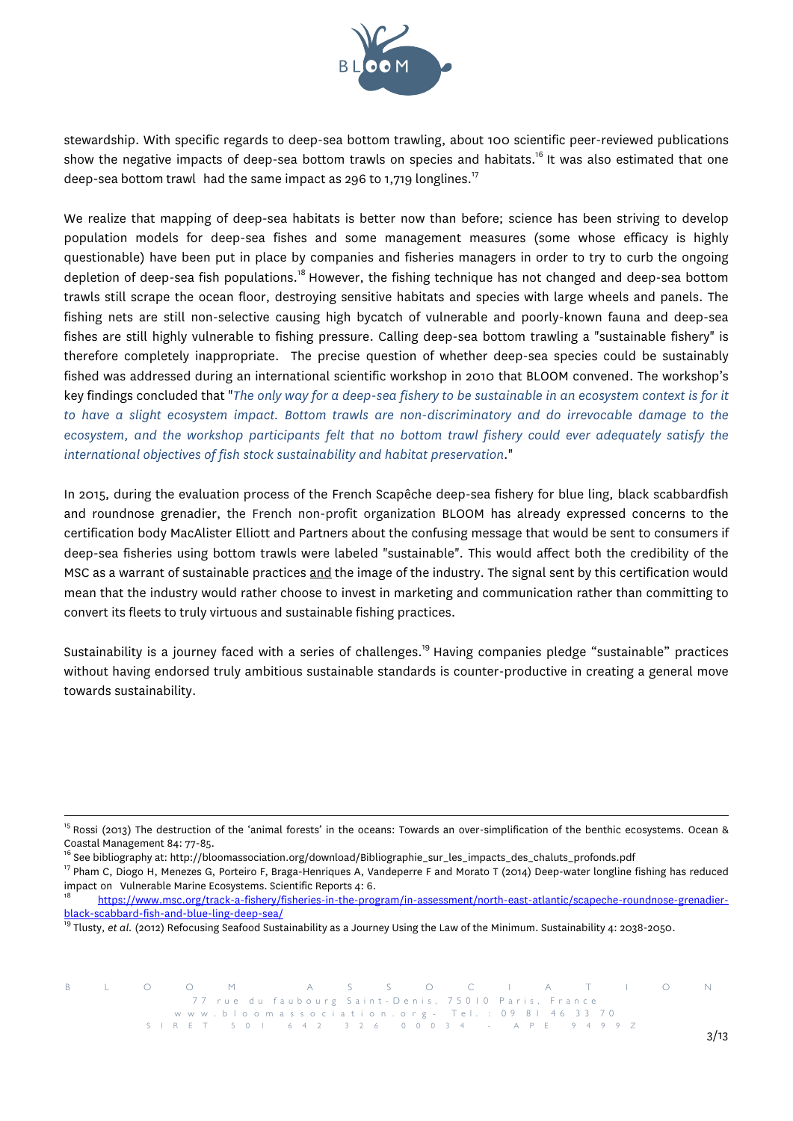

stewardship. With specific regards to deep-sea bottom trawling, about 100 scientific peer-reviewed publications show the negative impacts of deep-sea bottom trawls on species and habitats.<sup>16</sup> It was also estimated that one deep-sea bottom trawl  $\,$  had the same impact as 296 to 1,719 longlines. $^{17}$ 

We realize that mapping of deep-sea habitats is better now than before; science has been striving to develop population models for deep-sea fishes and some management measures (some whose efficacy is highly questionable) have been put in place by companies and fisheries managers in order to try to curb the ongoing depletion of deep-sea fish populations.<sup>18</sup> However, the fishing technique has not changed and deep-sea bottom trawls still scrape the ocean floor, destroying sensitive habitats and species with large wheels and panels. The fishing nets are still non-selective causing high bycatch of vulnerable and poorly-known fauna and deep-sea fishes are still highly vulnerable to fishing pressure. Calling deep-sea bottom trawling a "sustainable fishery" is therefore completely inappropriate. The precise question of whether deep-sea species could be sustainably fished was addressed during an international scientific workshop in 2010 that BLOOM convened. The workshop's key findings concluded that "*The only way for a deep-sea fishery to be sustainable in an ecosystem context is for it to have a slight ecosystem impact. Bottom trawls are non-discriminatory and do irrevocable damage to the ecosystem, and the workshop participants felt that no bottom trawl fishery could ever adequately satisfy the international objectives of fish stock sustainability and habitat preservation*."

In 2015, during the evaluation process of the French Scapêche deep-sea fishery for blue ling, black scabbardfish and roundnose grenadier, the French non-profit organization BLOOM has already expressed concerns to the certification body MacAlister Elliott and Partners about the confusing message that would be sent to consumers if deep-sea fisheries using bottom trawls were labeled "sustainable". This would affect both the credibility of the MSC as a warrant of sustainable practices and the image of the industry. The signal sent by this certification would mean that the industry would rather choose to invest in marketing and communication rather than committing to convert its fleets to truly virtuous and sustainable fishing practices.

Sustainability is a journey faced with a series of challenges.<sup>19</sup> Having companies pledge "sustainable" practices without having endorsed truly ambitious sustainable standards is counter-productive in creating a general move towards sustainability.

<sup>&</sup>lt;sup>15</sup> Rossi (2013) The destruction of the 'animal forests' in the oceans: Towards an over-simplification of the benthic ecosystems. Ocean & Coastal Management 84: 77-85.<br><sup>16</sup> See bibliography at: http://bloomassociation.org/download/Bibliographie\_sur\_les\_impacts\_des\_chaluts\_profonds.pdf<br><sup>17</sup> Pham C, Diogo H, Menezes G, Porteiro F, Braga-Henriques A, Vandeperre

impact on Vulnerable Marine Ecosystems. Scientific Reports 4: 6.<br><sup>18</sup> https://www.msc.org/track-a-fishery/fisheries-in-the-program/in-assessment/north-east-atlantic/scapeche-roundnose-grenadier-

black-scabbard-fish-and-blue-ling-deep-sea/<br><sup>19</sup> Tlusty, et al. (2012) Refocusing Seafood Sustainability as a Journey Using the Law of the Minimum. Sustainability 4: 2038-2050.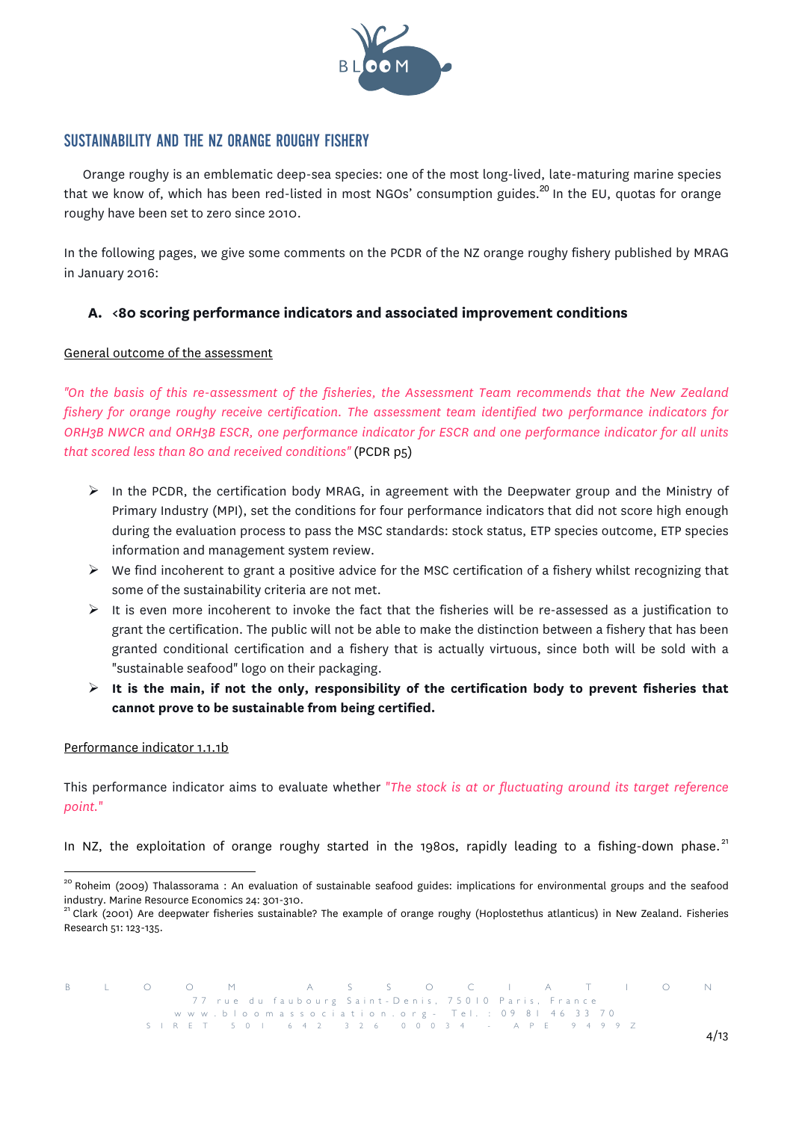

# SUSTAINABILITY AND THE NZ ORANGE ROUGHY FISHERY

Orange roughy is an emblematic deep-sea species: one of the most long-lived, late-maturing marine species that we know of, which has been red-listed in most NGOs' consumption guides.<sup>20</sup> In the EU, quotas for orange roughy have been set to zero since 2010.

In the following pages, we give some comments on the PCDR of the NZ orange roughy fishery published by MRAG in January 2016:

# **A. <80 scoring performance indicators and associated improvement conditions**

# General outcome of the assessment

*"On the basis of this re-assessment of the fisheries, the Assessment Team recommends that the New Zealand fishery for orange roughy receive certification. The assessment team identified two performance indicators for ORH3B NWCR and ORH3B ESCR, one performance indicator for ESCR and one performance indicator for all units that scored less than 80 and received conditions"* (PCDR p5)

- $\triangleright$  In the PCDR, the certification body MRAG, in agreement with the Deepwater group and the Ministry of Primary Industry (MPI), set the conditions for four performance indicators that did not score high enough during the evaluation process to pass the MSC standards: stock status, ETP species outcome, ETP species information and management system review.
- $\triangleright$  We find incoherent to grant a positive advice for the MSC certification of a fishery whilst recognizing that some of the sustainability criteria are not met.
- $\triangleright$  It is even more incoherent to invoke the fact that the fisheries will be re-assessed as a justification to grant the certification. The public will not be able to make the distinction between a fishery that has been granted conditional certification and a fishery that is actually virtuous, since both will be sold with a "sustainable seafood" logo on their packaging.
- ! **It is the main, if not the only, responsibility of the certification body to prevent fisheries that cannot prove to be sustainable from being certified.**

#### Performance indicator 1.1.1b

This performance indicator aims to evaluate whether "*The stock is at or fluctuating around its target reference point.*"

In NZ, the exploitation of orange roughy started in the 1980s, rapidly leading to a fishing-down phase. $^{21}$ 

<sup>&</sup>lt;sup>20</sup> Roheim (2009) Thalassorama : An evaluation of sustainable seafood guides: implications for environmental groups and the seafood industry. Marine Resource Economics 24: 301-310.<br><sup>21</sup> Clark (2001) Are deepwater fisheries sustainable? The example of orange roughy (Hoplostethus atlanticus) in New Zealand. Fisheries

Research 51: 123-135.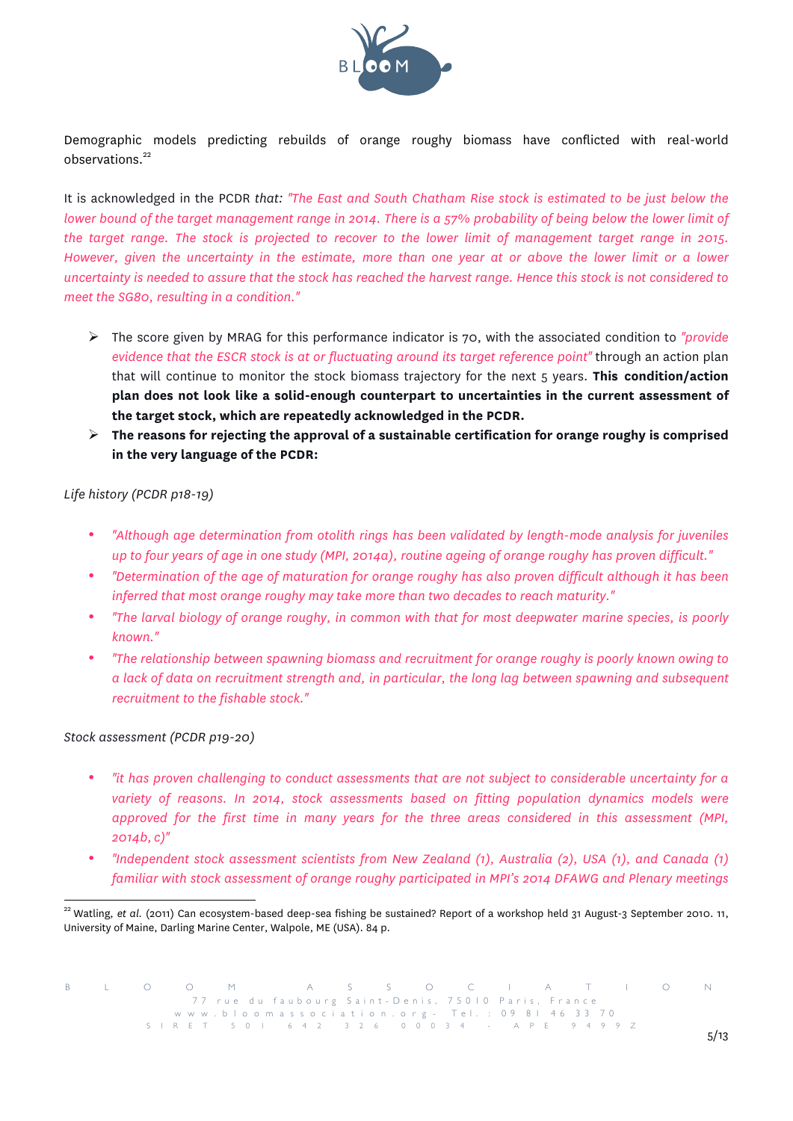

Demographic models predicting rebuilds of orange roughy biomass have conflicted with real-world observations.<sup>22</sup>

It is acknowledged in the PCDR *that: "The East and South Chatham Rise stock is estimated to be just below the lower bound of the target management range in 2014. There is a 57% probability of being below the lower limit of the target range. The stock is projected to recover to the lower limit of management target range in 2015. However, given the uncertainty in the estimate, more than one year at or above the lower limit or a lower uncertainty is needed to assure that the stock has reached the harvest range. Hence this stock is not considered to meet the SG80, resulting in a condition."*

- ! The score given by MRAG for this performance indicator is 70, with the associated condition to *"provide evidence that the ESCR stock is at or fluctuating around its target reference point"* through an action plan that will continue to monitor the stock biomass trajectory for the next 5 years. **This condition/action plan does not look like a solid-enough counterpart to uncertainties in the current assessment of the target stock, which are repeatedly acknowledged in the PCDR.**
- ! **The reasons for rejecting the approval of a sustainable certification for orange roughy is comprised in the very language of the PCDR:**

## *Life history (PCDR p18-19)*

- *"Although age determination from otolith rings has been validated by length-mode analysis for juveniles up to four years of age in one study (MPI, 2014a), routine ageing of orange roughy has proven difficult."*
- *"Determination of the age of maturation for orange roughy has also proven difficult although it has been inferred that most orange roughy may take more than two decades to reach maturity."*
- *"The larval biology of orange roughy, in common with that for most deepwater marine species, is poorly known."*
- *"The relationship between spawning biomass and recruitment for orange roughy is poorly known owing to a lack of data on recruitment strength and, in particular, the long lag between spawning and subsequent recruitment to the fishable stock."*

#### *Stock assessment (PCDR p19-20)*

- *"it has proven challenging to conduct assessments that are not subject to considerable uncertainty for a variety of reasons. In 2014, stock assessments based on fitting population dynamics models were approved for the first time in many years for the three areas considered in this assessment (MPI, 2014b, c)"*
- *"Independent stock assessment scientists from New Zealand (1), Australia (2), USA (1), and Canada (1) familiar with stock assessment of orange roughy participated in MPI's 2014 DFAWG and Plenary meetings*

<sup>&</sup>lt;sup>22</sup> Watling, et al. (2011) Can ecosystem-based deep-sea fishing be sustained? Report of a workshop held 31 August-3 September 2010. 11, University of Maine, Darling Marine Center, Walpole, ME (USA). 84 p.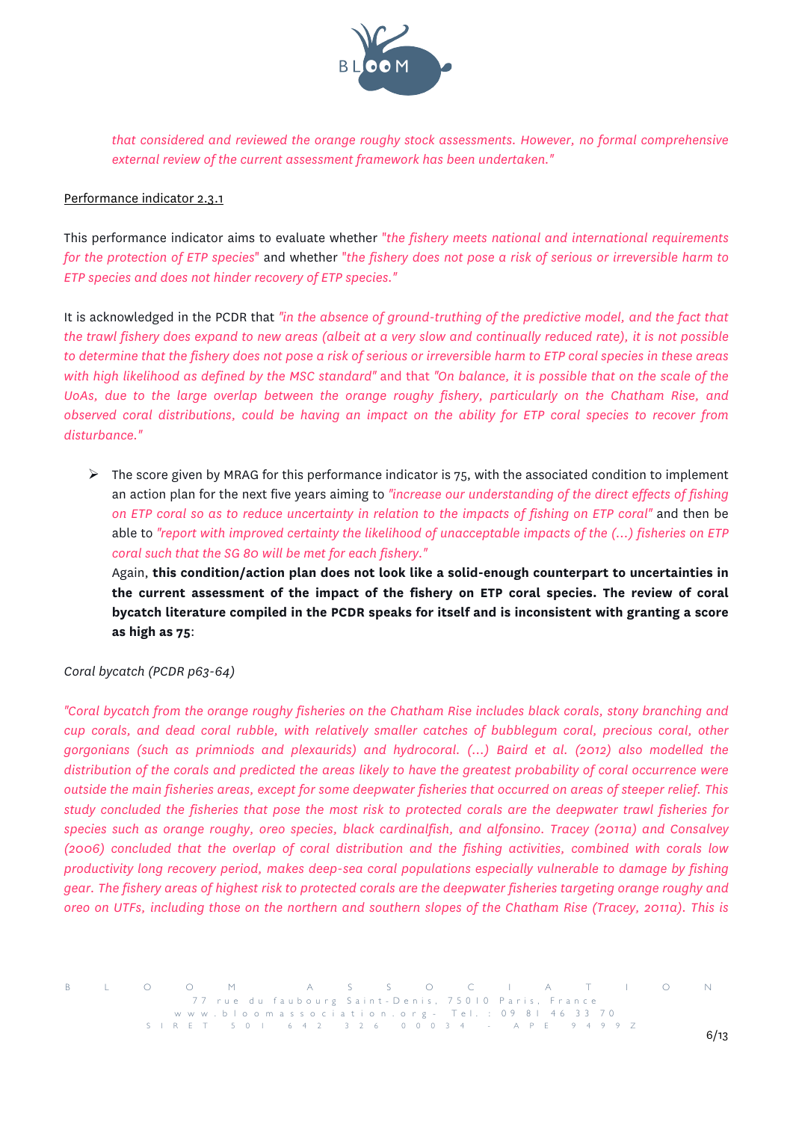

*that considered and reviewed the orange roughy stock assessments. However, no formal comprehensive external review of the current assessment framework has been undertaken."*

## Performance indicator 2.3.1

This performance indicator aims to evaluate whether "*the fishery meets national and international requirements for the protection of ETP species*" and whether "*the fishery does not pose a risk of serious or irreversible harm to ETP species and does not hinder recovery of ETP species."*

It is acknowledged in the PCDR that *"in the absence of ground-truthing of the predictive model, and the fact that the trawl fishery does expand to new areas (albeit at a very slow and continually reduced rate), it is not possible to determine that the fishery does not pose a risk of serious or irreversible harm to ETP coral species in these areas with high likelihood as defined by the MSC standard"* and that *"On balance, it is possible that on the scale of the UoAs, due to the large overlap between the orange roughy fishery, particularly on the Chatham Rise, and observed coral distributions, could be having an impact on the ability for ETP coral species to recover from disturbance."*

 $\triangleright$  The score given by MRAG for this performance indicator is 75, with the associated condition to implement an action plan for the next five years aiming to *"increase our understanding of the direct effects of fishing on ETP coral so as to reduce uncertainty in relation to the impacts of fishing on ETP coral"* and then be able to *"report with improved certainty the likelihood of unacceptable impacts of the (...) fisheries on ETP coral such that the SG 80 will be met for each fishery."*

Again, **this condition/action plan does not look like a solid-enough counterpart to uncertainties in the current assessment of the impact of the fishery on ETP coral species. The review of coral bycatch literature compiled in the PCDR speaks for itself and is inconsistent with granting a score as high as 75**:

*Coral bycatch (PCDR p63-64)* 

*"Coral bycatch from the orange roughy fisheries on the Chatham Rise includes black corals, stony branching and cup corals, and dead coral rubble, with relatively smaller catches of bubblegum coral, precious coral, other gorgonians (such as primniods and plexaurids) and hydrocoral. (...) Baird et al. (2012) also modelled the distribution of the corals and predicted the areas likely to have the greatest probability of coral occurrence were outside the main fisheries areas, except for some deepwater fisheries that occurred on areas of steeper relief. This study concluded the fisheries that pose the most risk to protected corals are the deepwater trawl fisheries for species such as orange roughy, oreo species, black cardinalfish, and alfonsino. Tracey (2011a) and Consalvey (2006) concluded that the overlap of coral distribution and the fishing activities, combined with corals low productivity long recovery period, makes deep-sea coral populations especially vulnerable to damage by fishing gear. The fishery areas of highest risk to protected corals are the deepwater fisheries targeting orange roughy and oreo on UTFs, including those on the northern and southern slopes of the Chatham Rise (Tracey, 2011a). This is*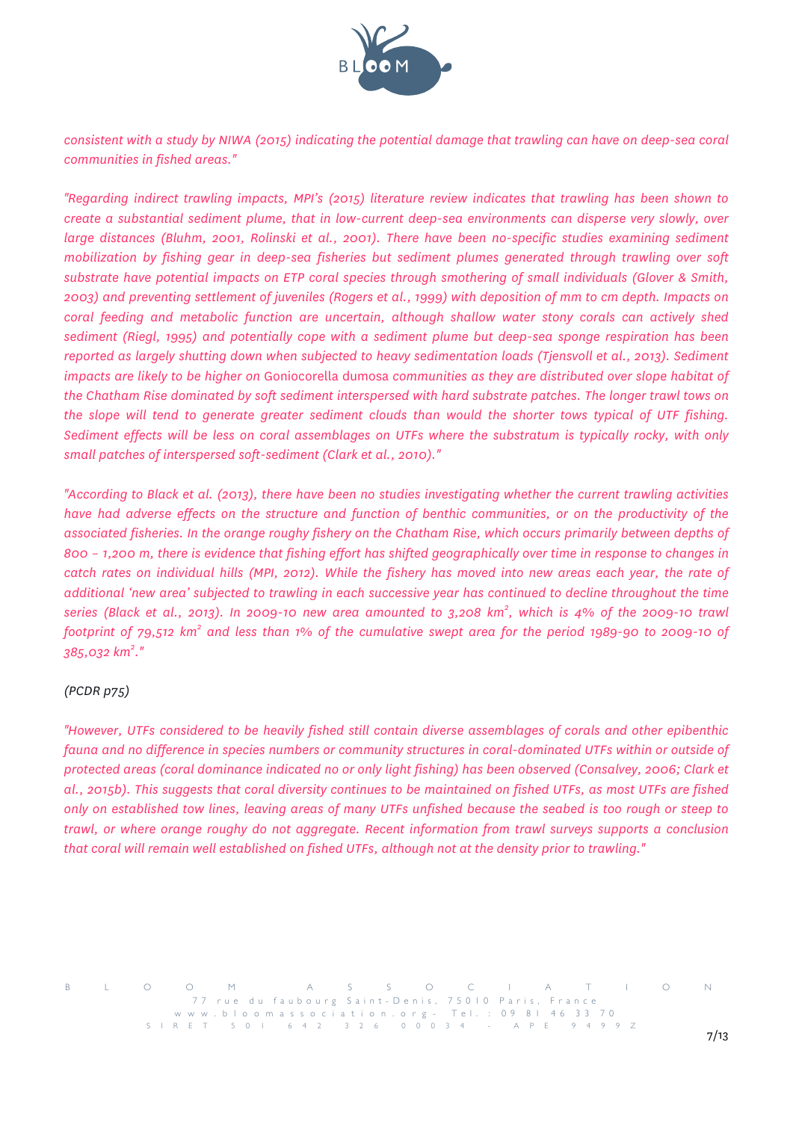

*consistent with a study by NIWA (2015) indicating the potential damage that trawling can have on deep-sea coral communities in fished areas."*

*"Regarding indirect trawling impacts, MPI's (2015) literature review indicates that trawling has been shown to create a substantial sediment plume, that in low-current deep-sea environments can disperse very slowly, over large distances (Bluhm, 2001, Rolinski et al., 2001). There have been no-specific studies examining sediment mobilization by fishing gear in deep-sea fisheries but sediment plumes generated through trawling over soft substrate have potential impacts on ETP coral species through smothering of small individuals (Glover & Smith, 2003) and preventing settlement of juveniles (Rogers et al., 1999) with deposition of mm to cm depth. Impacts on coral feeding and metabolic function are uncertain, although shallow water stony corals can actively shed sediment (Riegl, 1995) and potentially cope with a sediment plume but deep-sea sponge respiration has been reported as largely shutting down when subjected to heavy sedimentation loads (Tjensvoll et al., 2013). Sediment impacts are likely to be higher on* Goniocorella dumosa *communities as they are distributed over slope habitat of the Chatham Rise dominated by soft sediment interspersed with hard substrate patches. The longer trawl tows on the slope will tend to generate greater sediment clouds than would the shorter tows typical of UTF fishing. Sediment effects will be less on coral assemblages on UTFs where the substratum is typically rocky, with only small patches of interspersed soft-sediment (Clark et al., 2010)."*

*"According to Black et al. (2013), there have been no studies investigating whether the current trawling activities have had adverse effects on the structure and function of benthic communities, or on the productivity of the associated fisheries. In the orange roughy fishery on the Chatham Rise, which occurs primarily between depths of 800 – 1,200 m, there is evidence that fishing effort has shifted geographically over time in response to changes in catch rates on individual hills (MPI, 2012). While the fishery has moved into new areas each year, the rate of additional 'new area' subjected to trawling in each successive year has continued to decline throughout the time series (Black et al., 2013). In 2009-10 new area amounted to 3,208 km<sup>2</sup> , which is 4% of the 2009-10 trawl footprint of 79,512 km<sup>2</sup> and less than 1% of the cumulative swept area for the period 1989-90 to 2009-10 of 385,032 km<sup>2</sup> ."*

# *(PCDR p75)*

*"However, UTFs considered to be heavily fished still contain diverse assemblages of corals and other epibenthic fauna and no difference in species numbers or community structures in coral-dominated UTFs within or outside of protected areas (coral dominance indicated no or only light fishing) has been observed (Consalvey, 2006; Clark et al., 2015b). This suggests that coral diversity continues to be maintained on fished UTFs, as most UTFs are fished only on established tow lines, leaving areas of many UTFs unfished because the seabed is too rough or steep to trawl, or where orange roughy do not aggregate. Recent information from trawl surveys supports a conclusion that coral will remain well established on fished UTFs, although not at the density prior to trawling."*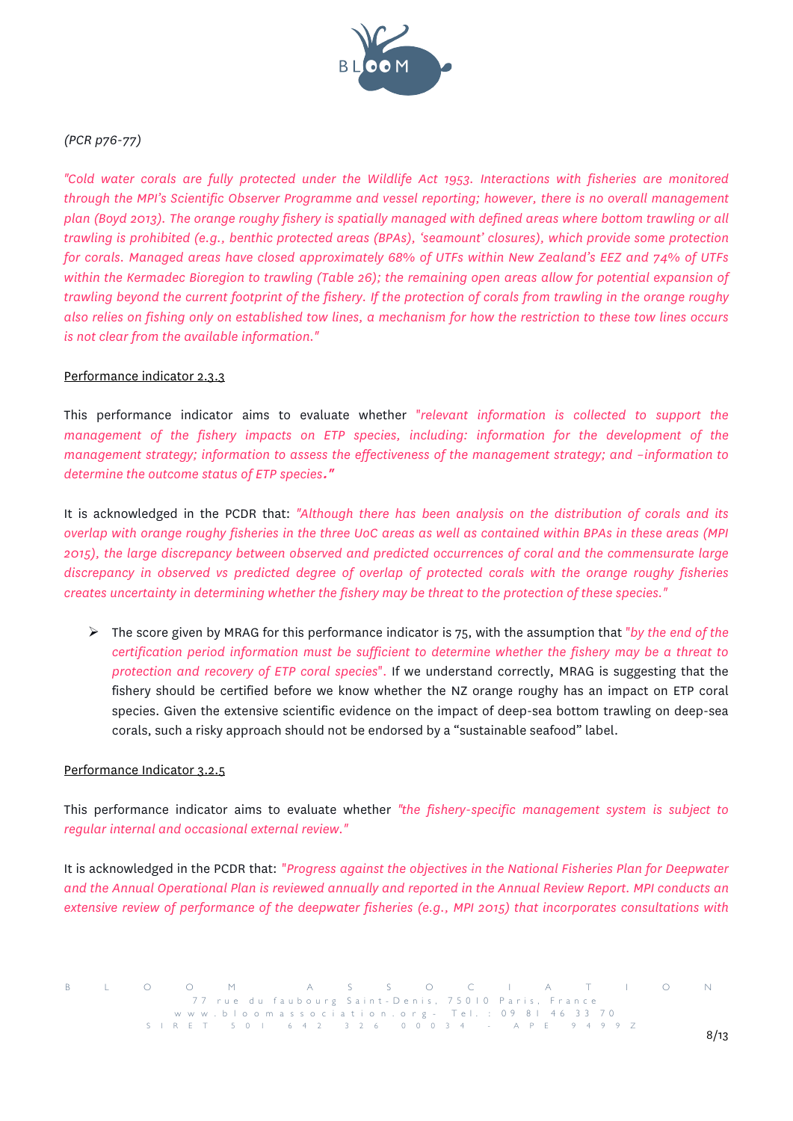

# *(PCR p76-77)*

*"Cold water corals are fully protected under the Wildlife Act 1953. Interactions with fisheries are monitored through the MPI's Scientific Observer Programme and vessel reporting; however, there is no overall management plan (Boyd 2013). The orange roughy fishery is spatially managed with defined areas where bottom trawling or all trawling is prohibited (e.g., benthic protected areas (BPAs), 'seamount' closures), which provide some protection for corals. Managed areas have closed approximately 68% of UTFs within New Zealand's EEZ and 74% of UTFs*  within the Kermadec Bioregion to trawling (Table 26); the remaining open areas allow for potential expansion of *trawling beyond the current footprint of the fishery. If the protection of corals from trawling in the orange roughy also relies on fishing only on established tow lines, a mechanism for how the restriction to these tow lines occurs is not clear from the available information."*

## Performance indicator 2.3.3

This performance indicator aims to evaluate whether "*relevant information is collected to support the management of the fishery impacts on ETP species, including: information for the development of the management strategy; information to assess the effectiveness of the management strategy; and –information to determine the outcome status of ETP species***."**

It is acknowledged in the PCDR that: *"Although there has been analysis on the distribution of corals and its overlap with orange roughy fisheries in the three UoC areas as well as contained within BPAs in these areas (MPI 2015), the large discrepancy between observed and predicted occurrences of coral and the commensurate large discrepancy in observed vs predicted degree of overlap of protected corals with the orange roughy fisheries creates uncertainty in determining whether the fishery may be threat to the protection of these species."*

! The score given by MRAG for this performance indicator is 75, with the assumption that "*by the end of the certification period information must be sufficient to determine whether the fishery may be a threat to protection and recovery of ETP coral species*". If we understand correctly, MRAG is suggesting that the fishery should be certified before we know whether the NZ orange roughy has an impact on ETP coral species. Given the extensive scientific evidence on the impact of deep-sea bottom trawling on deep-sea corals, such a risky approach should not be endorsed by a "sustainable seafood" label.

#### Performance Indicator 3.2.5

This performance indicator aims to evaluate whether *"the fishery-specific management system is subject to regular internal and occasional external review."*

It is acknowledged in the PCDR that: "*Progress against the objectives in the National Fisheries Plan for Deepwater and the Annual Operational Plan is reviewed annually and reported in the Annual Review Report. MPI conducts an extensive review of performance of the deepwater fisheries (e.g., MPI 2015) that incorporates consultations with*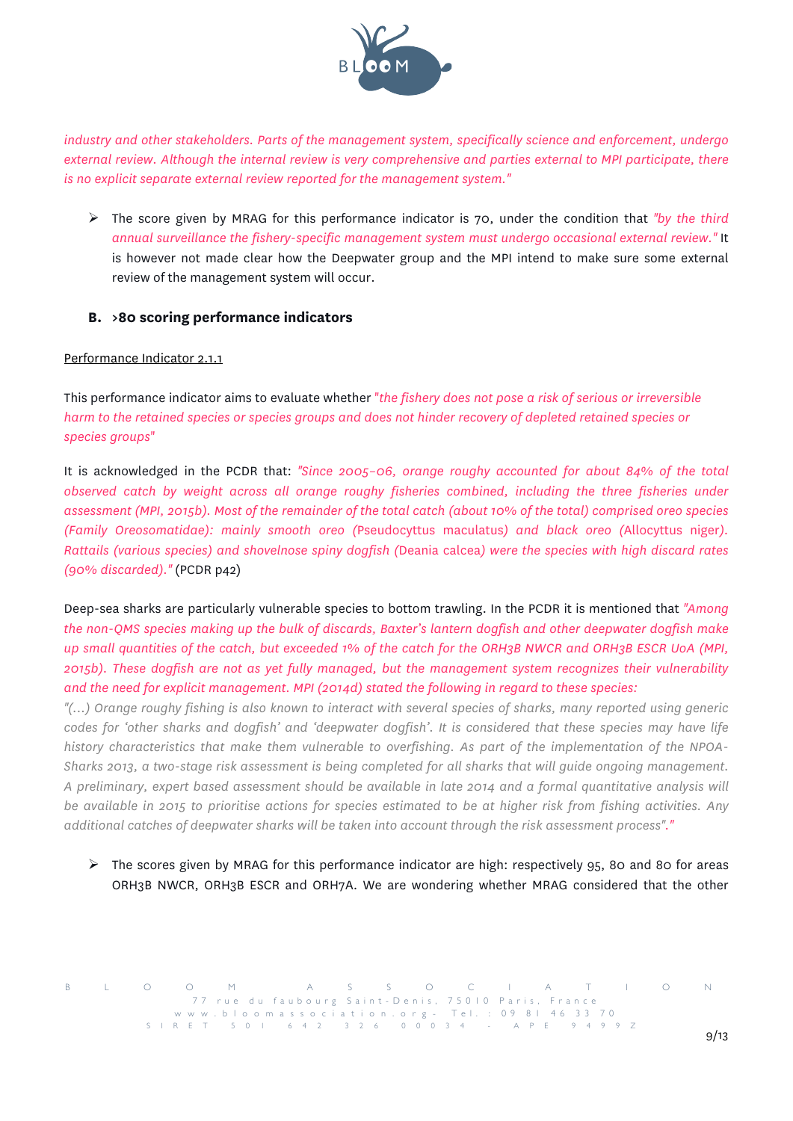

*industry and other stakeholders. Parts of the management system, specifically science and enforcement, undergo external review. Although the internal review is very comprehensive and parties external to MPI participate, there is no explicit separate external review reported for the management system."*

! The score given by MRAG for this performance indicator is 70, under the condition that *"by the third annual surveillance the fishery-specific management system must undergo occasional external review."* It is however not made clear how the Deepwater group and the MPI intend to make sure some external review of the management system will occur.

# **B. >80 scoring performance indicators**

## Performance Indicator 2.1.1

This performance indicator aims to evaluate whether "*the fishery does not pose a risk of serious or irreversible harm to the retained species or species groups and does not hinder recovery of depleted retained species or species groups*"

It is acknowledged in the PCDR that: *"Since 2005–06, orange roughy accounted for about 84% of the total observed catch by weight across all orange roughy fisheries combined, including the three fisheries under assessment (MPI, 2015b). Most of the remainder of the total catch (about 10% of the total) comprised oreo species (Family Oreosomatidae): mainly smooth oreo (*Pseudocyttus maculatus*) and black oreo (*Allocyttus niger*). Rattails (various species) and shovelnose spiny dogfish (*Deania calcea*) were the species with high discard rates (90% discarded)."* (PCDR p42)

Deep-sea sharks are particularly vulnerable species to bottom trawling. In the PCDR it is mentioned that *"Among the non-QMS species making up the bulk of discards, Baxter's lantern dogfish and other deepwater dogfish make up small quantities of the catch, but exceeded 1% of the catch for the ORH3B NWCR and ORH3B ESCR UoA (MPI, 2015b). These dogfish are not as yet fully managed, but the management system recognizes their vulnerability and the need for explicit management. MPI (2014d) stated the following in regard to these species:*

*"(...) Orange roughy fishing is also known to interact with several species of sharks, many reported using generic codes for 'other sharks and dogfish' and 'deepwater dogfish'. It is considered that these species may have life history characteristics that make them vulnerable to overfishing. As part of the implementation of the NPOA-Sharks 2013, a two-stage risk assessment is being completed for all sharks that will guide ongoing management. A preliminary, expert based assessment should be available in late 2014 and a formal quantitative analysis will be available in 2015 to prioritise actions for species estimated to be at higher risk from fishing activities. Any additional catches of deepwater sharks will be taken into account through the risk assessment process"."*

 $\triangleright$  The scores given by MRAG for this performance indicator are high: respectively 95, 80 and 80 for areas ORH3B NWCR, ORH3B ESCR and ORH7A. We are wondering whether MRAG considered that the other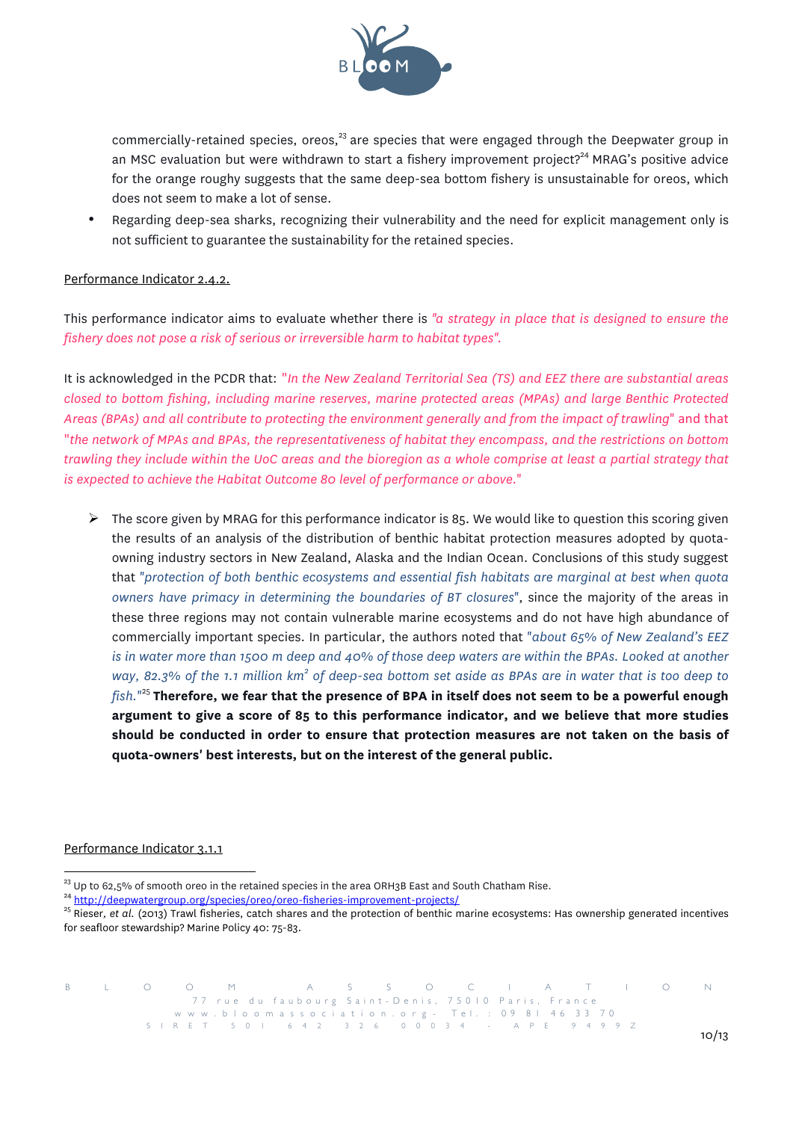

commercially-retained species, oreos,  $23$  are species that were engaged through the Deepwater group in an MSC evaluation but were withdrawn to start a fishery improvement project?<sup>24</sup> MRAG's positive advice for the orange roughy suggests that the same deep-sea bottom fishery is unsustainable for oreos, which does not seem to make a lot of sense.

• Regarding deep-sea sharks, recognizing their vulnerability and the need for explicit management only is not sufficient to guarantee the sustainability for the retained species.

# Performance Indicator 2.4.2.

This performance indicator aims to evaluate whether there is *"a strategy in place that is designed to ensure the fishery does not pose a risk of serious or irreversible harm to habitat types".*

It is acknowledged in the PCDR that: "*In the New Zealand Territorial Sea (TS) and EEZ there are substantial areas closed to bottom fishing, including marine reserves, marine protected areas (MPAs) and large Benthic Protected Areas (BPAs) and all contribute to protecting the environment generally and from the impact of trawling*" and that "*the network of MPAs and BPAs, the representativeness of habitat they encompass, and the restrictions on bottom trawling they include within the UoC areas and the bioregion as a whole comprise at least a partial strategy that is expected to achieve the Habitat Outcome 80 level of performance or above.*"

 $\triangleright$  The score given by MRAG for this performance indicator is 85. We would like to question this scoring given the results of an analysis of the distribution of benthic habitat protection measures adopted by quotaowning industry sectors in New Zealand, Alaska and the Indian Ocean. Conclusions of this study suggest that "*protection of both benthic ecosystems and essential fish habitats are marginal at best when quota owners have primacy in determining the boundaries of BT closures*", since the majority of the areas in these three regions may not contain vulnerable marine ecosystems and do not have high abundance of commercially important species. In particular, the authors noted that "*about 65% of New Zealand's EEZ is in water more than 1500 m deep and 40% of those deep waters are within the BPAs. Looked at another way, 82.3% of the 1.1 million km<sup>2</sup> of deep-sea bottom set aside as BPAs are in water that is too deep to fish.*" <sup>25</sup> **Therefore, we fear that the presence of BPA in itself does not seem to be a powerful enough argument to give a score of 85 to this performance indicator, and we believe that more studies should be conducted in order to ensure that protection measures are not taken on the basis of quota-owners' best interests, but on the interest of the general public.**

#### Performance Indicator 3.1.1

<sup>&</sup>lt;sup>23</sup> Up to 62,5% of smooth oreo in the retained species in the area ORH3B East and South Chatham Rise.<br><sup>24</sup> http://deepwatergroup.org/species/oreo/oreo-fisheries-improvement-projects/<br><sup>25</sup> Rieser, *et al.* (2013) Trawl fi for seafloor stewardship? Marine Policy 40: 75-83.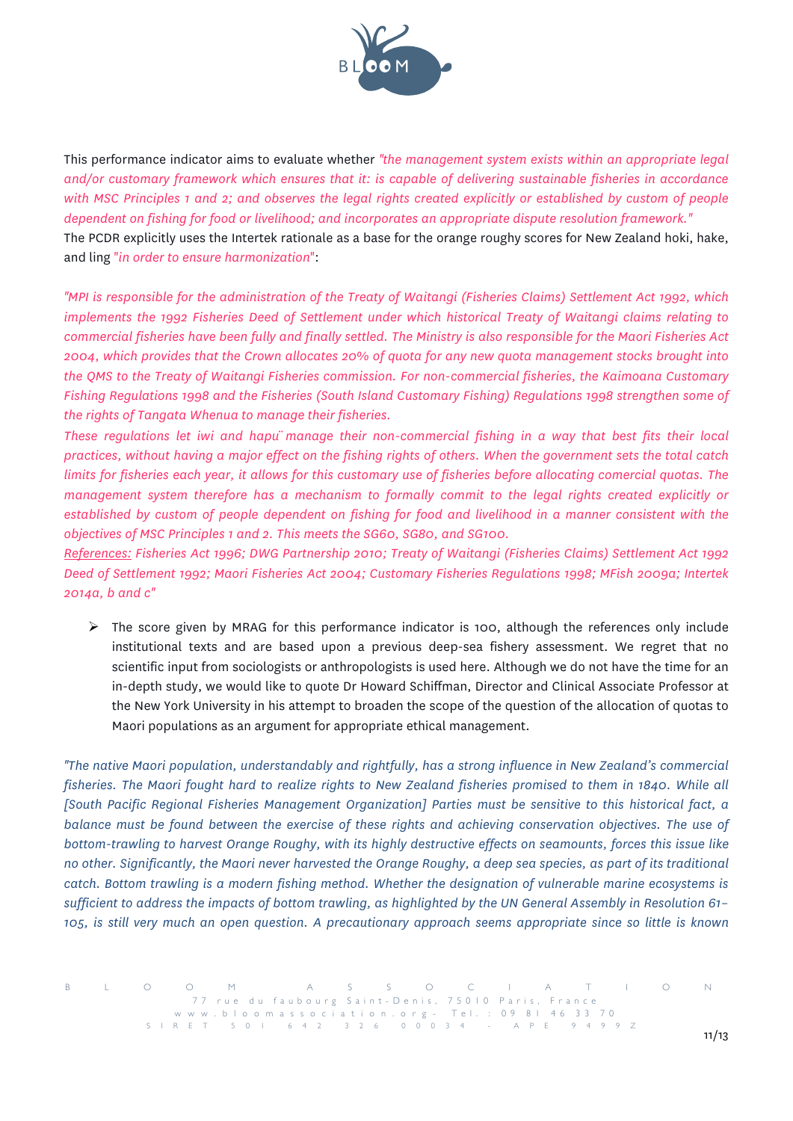

This performance indicator aims to evaluate whether *"the management system exists within an appropriate legal and/or customary framework which ensures that it: is capable of delivering sustainable fisheries in accordance with MSC Principles 1 and 2; and observes the legal rights created explicitly or established by custom of people dependent on fishing for food or livelihood; and incorporates an appropriate dispute resolution framework."* The PCDR explicitly uses the Intertek rationale as a base for the orange roughy scores for New Zealand hoki, hake, and ling "*in order to ensure harmonization*":

*"MPI is responsible for the administration of the Treaty of Waitangi (Fisheries Claims) Settlement Act 1992, which implements the 1992 Fisheries Deed of Settlement under which historical Treaty of Waitangi claims relating to commercial fisheries have been fully and finally settled. The Ministry is also responsible for the Maori Fisheries Act 2004, which provides that the Crown allocates 20% of quota for any new quota management stocks brought into the QMS to the Treaty of Waitangi Fisheries commission. For non-commercial fisheries, the Kaimoana Customary Fishing Regulations 1998 and the Fisheries (South Island Customary Fishing) Regulations 1998 strengthen some of the rights of Tangata Whenua to manage their fisheries.*

*These regulations let iwi and hapü manage their non-commercial fishing in a way that best fits their local practices, without having a major effect on the fishing rights of others. When the government sets the total catch limits for fisheries each year, it allows for this customary use of fisheries before allocating comercial quotas. The management system therefore has a mechanism to formally commit to the legal rights created explicitly or established by custom of people dependent on fishing for food and livelihood in a manner consistent with the objectives of MSC Principles 1 and 2. This meets the SG60, SG80, and SG100.*

*References: Fisheries Act 1996; DWG Partnership 2010; Treaty of Waitangi (Fisheries Claims) Settlement Act 1992 Deed of Settlement 1992; Maori Fisheries Act 2004; Customary Fisheries Regulations 1998; MFish 2009a; Intertek 2014a, b and c"*

 $\triangleright$  The score given by MRAG for this performance indicator is 100, although the references only include institutional texts and are based upon a previous deep-sea fishery assessment. We regret that no scientific input from sociologists or anthropologists is used here. Although we do not have the time for an in-depth study, we would like to quote Dr Howard Schiffman, Director and Clinical Associate Professor at the New York University in his attempt to broaden the scope of the question of the allocation of quotas to Maori populations as an argument for appropriate ethical management.

*"The native Maori population, understandably and rightfully, has a strong influence in New Zealand's commercial fisheries. The Maori fought hard to realize rights to New Zealand fisheries promised to them in 1840. While all [South Pacific Regional Fisheries Management Organization] Parties must be sensitive to this historical fact, a balance must be found between the exercise of these rights and achieving conservation objectives. The use of bottom-trawling to harvest Orange Roughy, with its highly destructive effects on seamounts, forces this issue like no other. Significantly, the Maori never harvested the Orange Roughy, a deep sea species, as part of its traditional catch. Bottom trawling is a modern fishing method. Whether the designation of vulnerable marine ecosystems is sufficient to address the impacts of bottom trawling, as highlighted by the UN General Assembly in Resolution 61– 105, is still very much an open question. A precautionary approach seems appropriate since so little is known* 

B L O O M A S S O C I A T I O N .<br>77 rue du faubourg Saint-Denis, 75010 Paris, France www.bloomassociation.org - Tel. : 09 81 46 33 70 SIRET 501 642 326 000 3 4 - APE 9499Z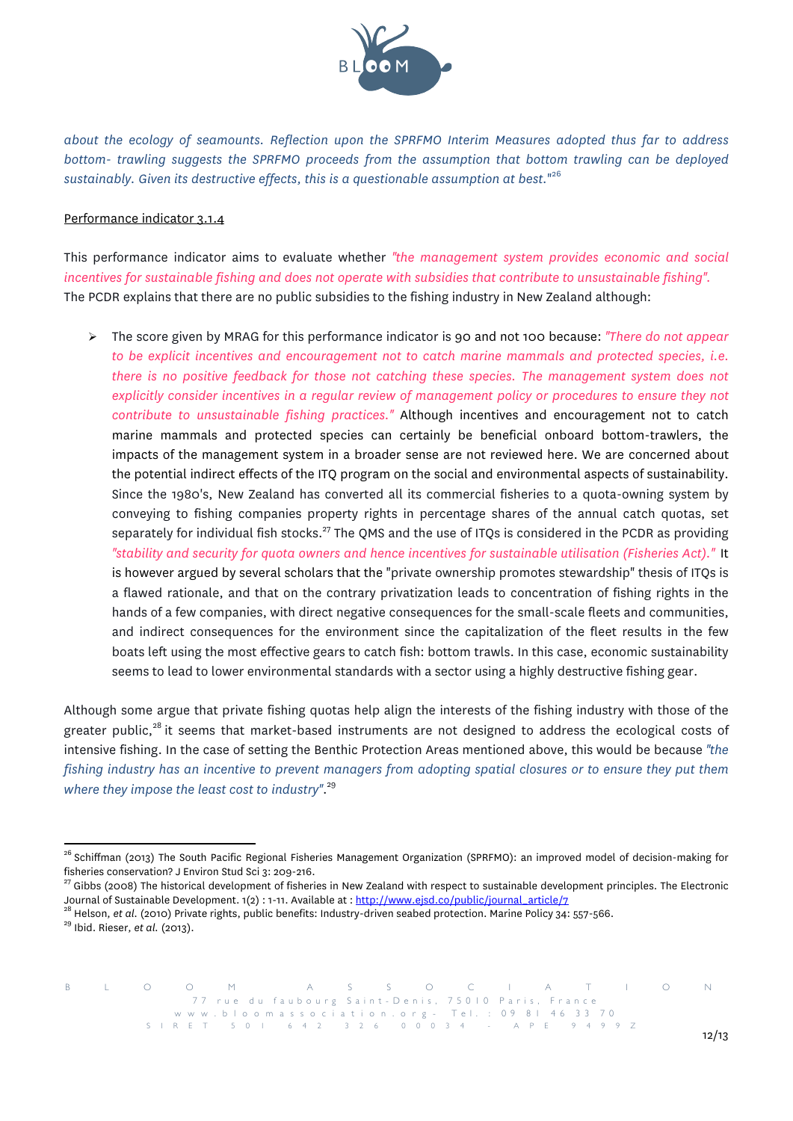

*about the ecology of seamounts. Reflection upon the SPRFMO Interim Measures adopted thus far to address bottom- trawling suggests the SPRFMO proceeds from the assumption that bottom trawling can be deployed sustainably. Given its destructive effects, this is a questionable assumption at best.*" 26

#### Performance indicator 3.1.4

This performance indicator aims to evaluate whether *"the management system provides economic and social incentives for sustainable fishing and does not operate with subsidies that contribute to unsustainable fishing".* The PCDR explains that there are no public subsidies to the fishing industry in New Zealand although:

! The score given by MRAG for this performance indicator is 90 and not 100 because: *"There do not appear to be explicit incentives and encouragement not to catch marine mammals and protected species, i.e. there is no positive feedback for those not catching these species. The management system does not explicitly consider incentives in a regular review of management policy or procedures to ensure they not contribute to unsustainable fishing practices."* Although incentives and encouragement not to catch marine mammals and protected species can certainly be beneficial onboard bottom-trawlers, the impacts of the management system in a broader sense are not reviewed here. We are concerned about the potential indirect effects of the ITQ program on the social and environmental aspects of sustainability. Since the 1980's, New Zealand has converted all its commercial fisheries to a quota-owning system by conveying to fishing companies property rights in percentage shares of the annual catch quotas, set separately for individual fish stocks.<sup>27</sup> The QMS and the use of ITQs is considered in the PCDR as providing *"stability and security for quota owners and hence incentives for sustainable utilisation (Fisheries Act)."*!!It is however argued by several scholars that the "private ownership promotes stewardship" thesis of ITQs is a flawed rationale, and that on the contrary privatization leads to concentration of fishing rights in the hands of a few companies, with direct negative consequences for the small-scale fleets and communities, and indirect consequences for the environment since the capitalization of the fleet results in the few boats left using the most effective gears to catch fish: bottom trawls. In this case, economic sustainability seems to lead to lower environmental standards with a sector using a highly destructive fishing gear.

Although some argue that private fishing quotas help align the interests of the fishing industry with those of the greater public,<sup>28</sup> it seems that market-based instruments are not designed to address the ecological costs of intensive fishing. In the case of setting the Benthic Protection Areas mentioned above, this would be because *"the fishing industry has an incentive to prevent managers from adopting spatial closures or to ensure they put them where they impose the least cost to industry"*. 29

<sup>&</sup>lt;sup>26</sup> Schiffman (2013) The South Pacific Regional Fisheries Management Organization (SPRFMO): an improved model of decision-making for fisheries conservation? J Environ Stud Sci 3: 209-216.<br><sup>27</sup> Gibbs (2008) The historical development of fisheries in New Zealand with respect to sustainable development principles. The Electronic

Journal of Sustainable Development. 1(2) : 1-11. Available at : <u>http://www.ejsd.co/public/journal\_article/7</u><br><sup>28</sup> Helson, *et al.* (2010) Private rights, public benefits: Industry-driven seabed protection. Marine Policy 3